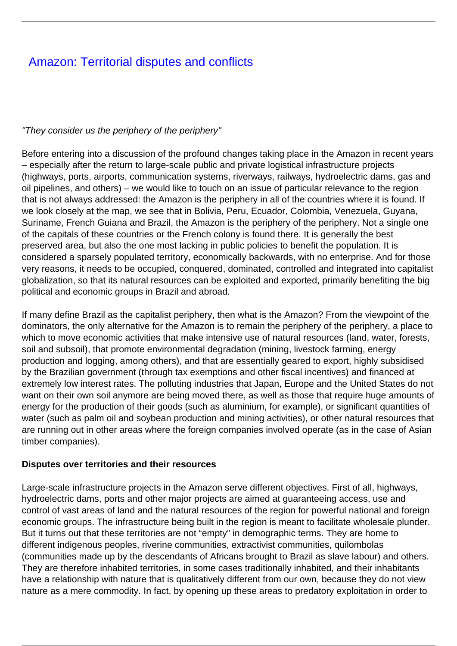## **[Amazon: Territorial disputes and conflicts](/bulletin-articles/amazon-territorial-disputes-and-conflicts)**

## "They consider us the periphery of the periphery"

Before entering into a discussion of the profound changes taking place in the Amazon in recent years – especially after the return to large-scale public and private logistical infrastructure projects (highways, ports, airports, communication systems, riverways, railways, hydroelectric dams, gas and oil pipelines, and others) – we would like to touch on an issue of particular relevance to the region that is not always addressed: the Amazon is the periphery in all of the countries where it is found. If we look closely at the map, we see that in Bolivia, Peru, Ecuador, Colombia, Venezuela, Guyana, Suriname, French Guiana and Brazil, the Amazon is the periphery of the periphery. Not a single one of the capitals of these countries or the French colony is found there. It is generally the best preserved area, but also the one most lacking in public policies to benefit the population. It is considered a sparsely populated territory, economically backwards, with no enterprise. And for those very reasons, it needs to be occupied, conquered, dominated, controlled and integrated into capitalist globalization, so that its natural resources can be exploited and exported, primarily benefiting the big political and economic groups in Brazil and abroad.

If many define Brazil as the capitalist periphery, then what is the Amazon? From the viewpoint of the dominators, the only alternative for the Amazon is to remain the periphery of the periphery, a place to which to move economic activities that make intensive use of natural resources (land, water, forests, soil and subsoil), that promote environmental degradation (mining, livestock farming, energy production and logging, among others), and that are essentially geared to export, highly subsidised by the Brazilian government (through tax exemptions and other fiscal incentives) and financed at extremely low interest rates. The polluting industries that Japan, Europe and the United States do not want on their own soil anymore are being moved there, as well as those that require huge amounts of energy for the production of their goods (such as aluminium, for example), or significant quantities of water (such as palm oil and soybean production and mining activities), or other natural resources that are running out in other areas where the foreign companies involved operate (as in the case of Asian timber companies).

## **Disputes over territories and their resources**

Large-scale infrastructure projects in the Amazon serve different objectives. First of all, highways, hydroelectric dams, ports and other major projects are aimed at guaranteeing access, use and control of vast areas of land and the natural resources of the region for powerful national and foreign economic groups. The infrastructure being built in the region is meant to facilitate wholesale plunder. But it turns out that these territories are not "empty" in demographic terms. They are home to different indigenous peoples, riverine communities, extractivist communities, quilombolas (communities made up by the descendants of Africans brought to Brazil as slave labour) and others. They are therefore inhabited territories, in some cases traditionally inhabited, and their inhabitants have a relationship with nature that is qualitatively different from our own, because they do not view nature as a mere commodity. In fact, by opening up these areas to predatory exploitation in order to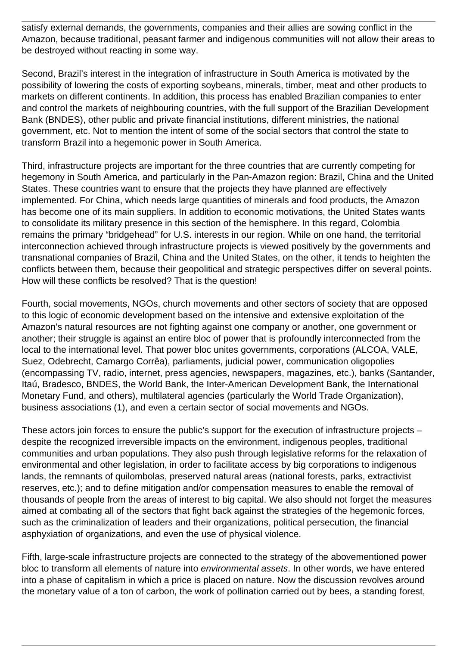satisfy external demands, the governments, companies and their allies are sowing conflict in the Amazon, because traditional, peasant farmer and indigenous communities will not allow their areas to be destroyed without reacting in some way.

Second, Brazil's interest in the integration of infrastructure in South America is motivated by the possibility of lowering the costs of exporting soybeans, minerals, timber, meat and other products to markets on different continents. In addition, this process has enabled Brazilian companies to enter and control the markets of neighbouring countries, with the full support of the Brazilian Development Bank (BNDES), other public and private financial institutions, different ministries, the national government, etc. Not to mention the intent of some of the social sectors that control the state to transform Brazil into a hegemonic power in South America.

Third, infrastructure projects are important for the three countries that are currently competing for hegemony in South America, and particularly in the Pan-Amazon region: Brazil, China and the United States. These countries want to ensure that the projects they have planned are effectively implemented. For China, which needs large quantities of minerals and food products, the Amazon has become one of its main suppliers. In addition to economic motivations, the United States wants to consolidate its military presence in this section of the hemisphere. In this regard, Colombia remains the primary "bridgehead" for U.S. interests in our region. While on one hand, the territorial interconnection achieved through infrastructure projects is viewed positively by the governments and transnational companies of Brazil, China and the United States, on the other, it tends to heighten the conflicts between them, because their geopolitical and strategic perspectives differ on several points. How will these conflicts be resolved? That is the question!

Fourth, social movements, NGOs, church movements and other sectors of society that are opposed to this logic of economic development based on the intensive and extensive exploitation of the Amazon's natural resources are not fighting against one company or another, one government or another; their struggle is against an entire bloc of power that is profoundly interconnected from the local to the international level. That power bloc unites governments, corporations (ALCOA, VALE, Suez, Odebrecht, Camargo Corrêa), parliaments, judicial power, communication oligopolies (encompassing TV, radio, internet, press agencies, newspapers, magazines, etc.), banks (Santander, Itaú, Bradesco, BNDES, the World Bank, the Inter-American Development Bank, the International Monetary Fund, and others), multilateral agencies (particularly the World Trade Organization), business associations (1), and even a certain sector of social movements and NGOs.

These actors join forces to ensure the public's support for the execution of infrastructure projects – despite the recognized irreversible impacts on the environment, indigenous peoples, traditional communities and urban populations. They also push through legislative reforms for the relaxation of environmental and other legislation, in order to facilitate access by big corporations to indigenous lands, the remnants of quilombolas, preserved natural areas (national forests, parks, extractivist reserves, etc.); and to define mitigation and/or compensation measures to enable the removal of thousands of people from the areas of interest to big capital. We also should not forget the measures aimed at combating all of the sectors that fight back against the strategies of the hegemonic forces, such as the criminalization of leaders and their organizations, political persecution, the financial asphyxiation of organizations, and even the use of physical violence.

Fifth, large-scale infrastructure projects are connected to the strategy of the abovementioned power bloc to transform all elements of nature into environmental assets. In other words, we have entered into a phase of capitalism in which a price is placed on nature. Now the discussion revolves around the monetary value of a ton of carbon, the work of pollination carried out by bees, a standing forest,